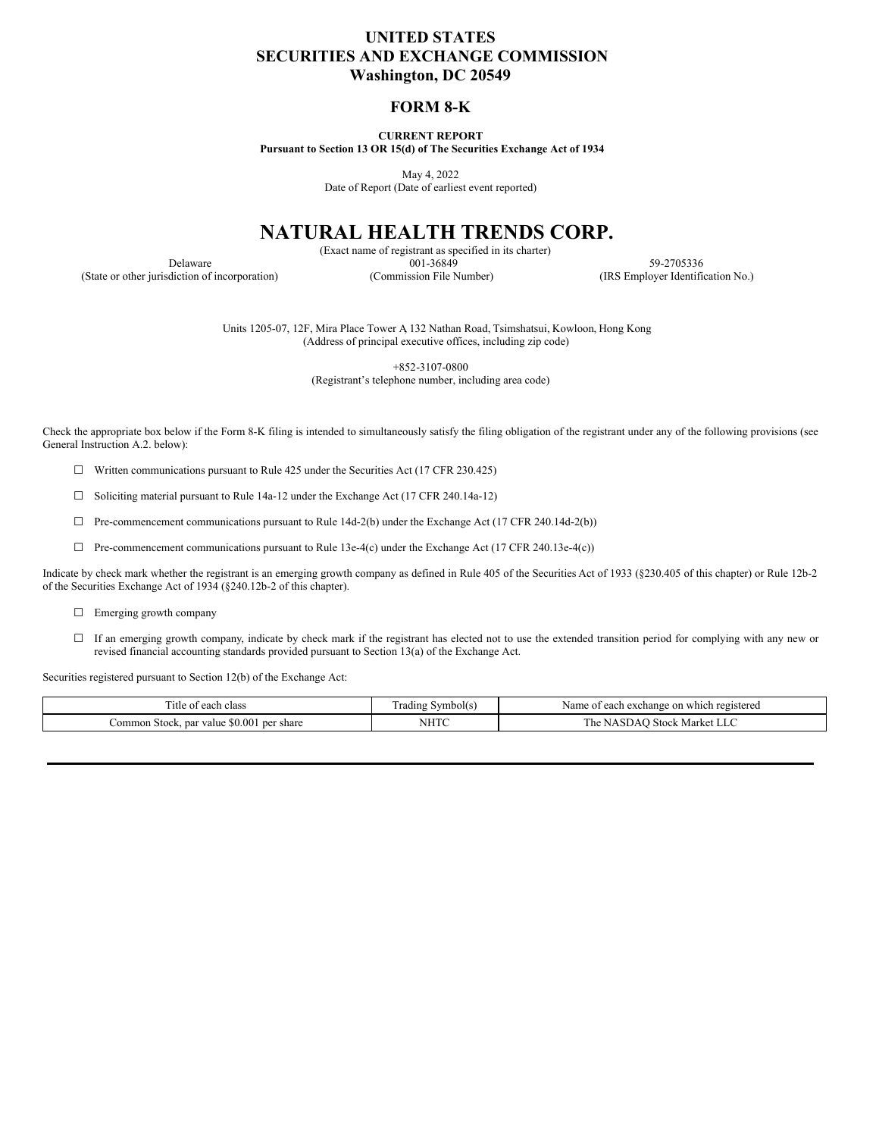# **UNITED STATES SECURITIES AND EXCHANGE COMMISSION Washington, DC 20549**

## **FORM 8-K**

**CURRENT REPORT Pursuant to Section 13 OR 15(d) of The Securities Exchange Act of 1934**

May 4, 2022

Date of Report (Date of earliest event reported)

# **NATURAL HEALTH TRENDS CORP.**

(Exact name of registrant as specified in its charter) Delaware 601-36849 59-2705336 (State or other jurisdiction of incorporation) (Commission File Number) (IRS Employer Identification No.)

Units 1205-07, 12F, Mira Place Tower A, 132 Nathan Road, Tsimshatsui, Kowloon, Hong Kong (Address of principal executive offices, including zip code)

> +852-3107-0800 (Registrant's telephone number, including area code)

Check the appropriate box below if the Form 8-K filing is intended to simultaneously satisfy the filing obligation of the registrant under any of the following provisions (see General Instruction A.2. below):

 $\Box$  Written communications pursuant to Rule 425 under the Securities Act (17 CFR 230.425)

☐ Soliciting material pursuant to Rule 14a-12 under the Exchange Act (17 CFR 240.14a-12)

 $\Box$  Pre-commencement communications pursuant to Rule 14d-2(b) under the Exchange Act (17 CFR 240.14d-2(b))

 $\Box$  Pre-commencement communications pursuant to Rule 13e-4(c) under the Exchange Act (17 CFR 240.13e-4(c))

Indicate by check mark whether the registrant is an emerging growth company as defined in Rule 405 of the Securities Act of 1933 (§230.405 of this chapter) or Rule 12b-2 of the Securities Exchange Act of 1934 (§240.12b-2 of this chapter).

□ Emerging growth company

□ If an emerging growth company, indicate by check mark if the registrant has elected not to use the extended transition period for complying with any new or revised financial accounting standards provided pursuant to Section 13(a) of the Exchange Act.

Securities registered pursuant to Section 12(b) of the Exchange Act:

| l'itle<br>class<br>each                                       | vmbolt<br>adıng :      | Nam<br>on which<br>registered<br>egeh<br>exchange<br><b>CAUL</b>                         |
|---------------------------------------------------------------|------------------------|------------------------------------------------------------------------------------------|
| \$0.00<br>.ommon<br>per share<br>i Stock.<br>. par value<br>. | <b>NHTC</b><br>_______ | 1 he<br>$. \times$ toch<br>. IVI.<br>I K C<br>. .<br>the contract of the contract of the |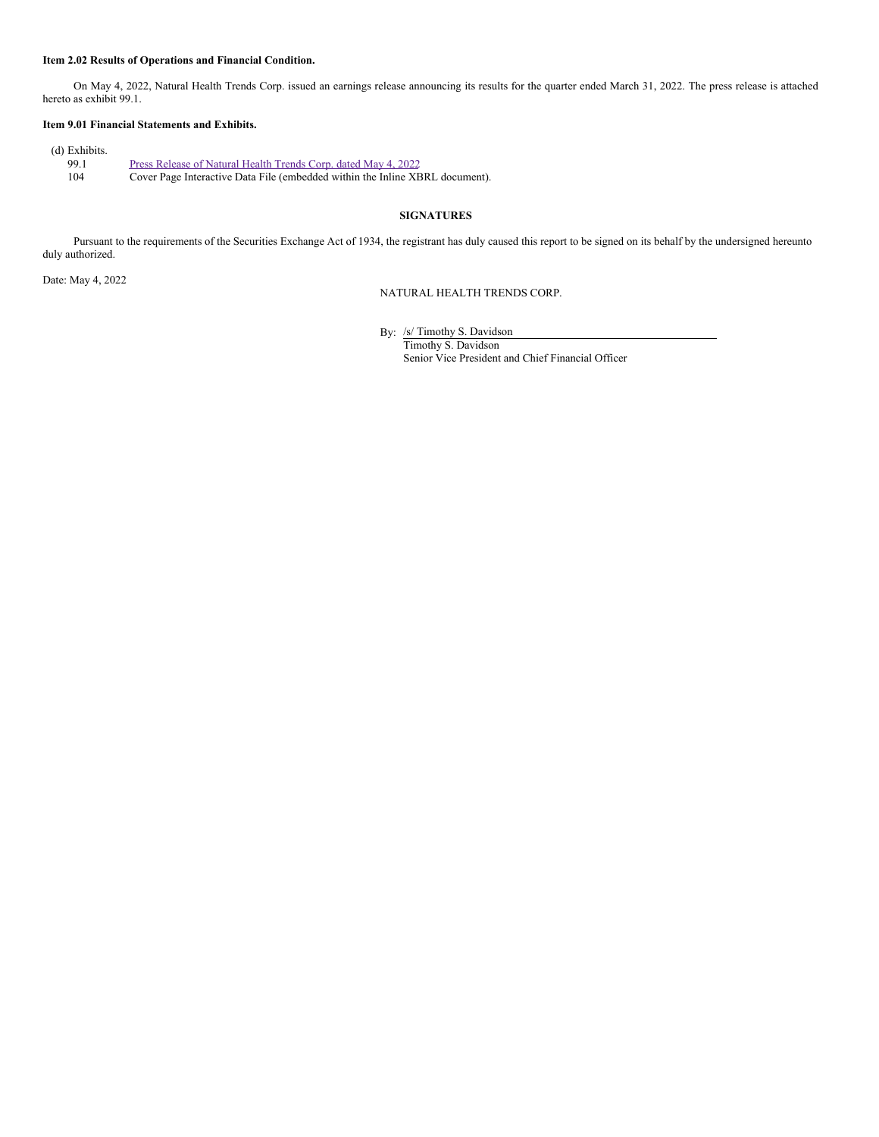#### **Item 2.02 Results of Operations and Financial Condition.**

On May 4, 2022, Natural Health Trends Corp. issued an earnings release announcing its results for the quarter ended March 31, 2022. The press release is attached hereto as exhibit 99.1.

## **Item 9.01 Financial Statements and Exhibits.**

| Press Release of Natural Health Trends Corp. dated May 4, 2022               |
|------------------------------------------------------------------------------|
| Cover Page Interactive Data File (embedded within the Inline XBRL document). |
|                                                                              |

#### **SIGNATURES**

Pursuant to the requirements of the Securities Exchange Act of 1934, the registrant has duly caused this report to be signed on its behalf by the undersigned hereunto duly authorized.

Date: May 4, 2022

NATURAL HEALTH TRENDS CORP.

By: /s/ Timothy S. Davidson Timothy S. Davidson

Senior Vice President and Chief Financial Officer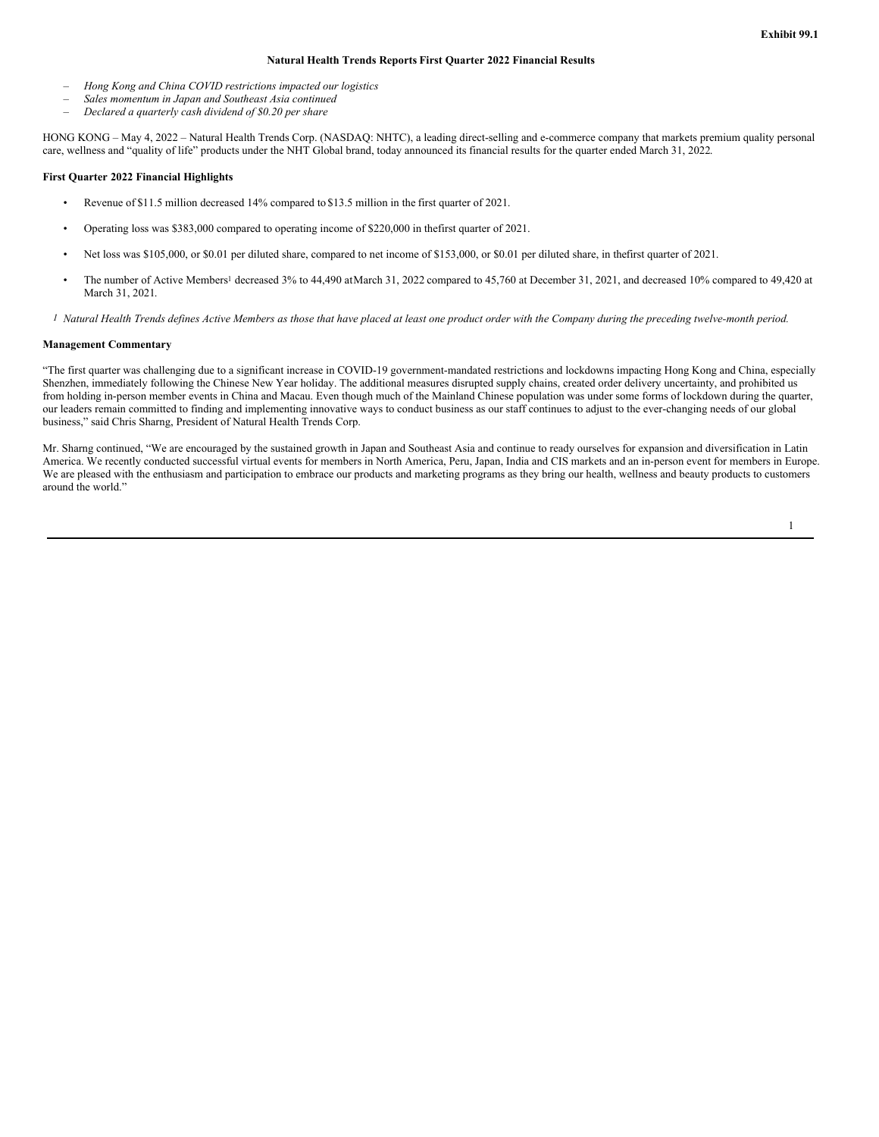#### **Natural Health Trends Reports First Quarter 2022 Financial Results**

- *– Hong Kong and China COVID restrictions impacted our logistics*
- *– Sales momentum in Japan and Southeast Asia continued*
- *– Declared a quarterly cash dividend of \$0.20 per share*

HONG KONG – May 4, 2022 – Natural Health Trends Corp. (NASDAQ: NHTC), a leading direct-selling and e-commerce company that markets premium quality personal care, wellness and "quality of life" products under the NHT Global brand, today announced its financial results for the quarter ended March 31, 2022.

#### **First Quarter 2022 Financial Highlights**

- Revenue of \$11.5 million decreased 14% compared to \$13.5 million in the first quarter of 2021.
- Operating loss was \$383,000 compared to operating income of \$220,000 in thefirst quarter of 2021.
- Net loss was \$105,000, or \$0.01 per diluted share, compared to net income of \$153,000, or \$0.01 per diluted share, in thefirst quarter of 2021.
- The number of Active Members <sup>1</sup> decreased 3% to 44,490 atMarch 31, 2022 compared to 45,760 at December 31, 2021, and decreased 10% compared to 49,420 at March 31, 2021.
- <sup>1</sup> Natural Health Trends defines Active Members as those that have placed at least one product order with the Company during the preceding twelve-month period.

#### **Management Commentary**

"The first quarter was challenging due to a significant increase in COVID-19 government-mandated restrictions and lockdowns impacting Hong Kong and China, especially Shenzhen, immediately following the Chinese New Year holiday. The additional measures disrupted supply chains, created order delivery uncertainty, and prohibited us from holding in-person member events in China and Macau. Even though much of the Mainland Chinese population was under some forms of lockdown during the quarter, our leaders remain committed to finding and implementing innovative ways to conduct business as our staff continues to adjust to the ever-changing needs of our global business," said Chris Sharng, President of Natural Health Trends Corp.

Mr. Sharng continued, "We are encouraged by the sustained growth in Japan and Southeast Asia and continue to ready ourselves for expansion and diversification in Latin America. We recently conducted successful virtual events for members in North America, Peru, Japan, India and CIS markets and an in-person event for members in Europe. We are pleased with the enthusiasm and participation to embrace our products and marketing programs as they bring our health, wellness and beauty products to customers around the world."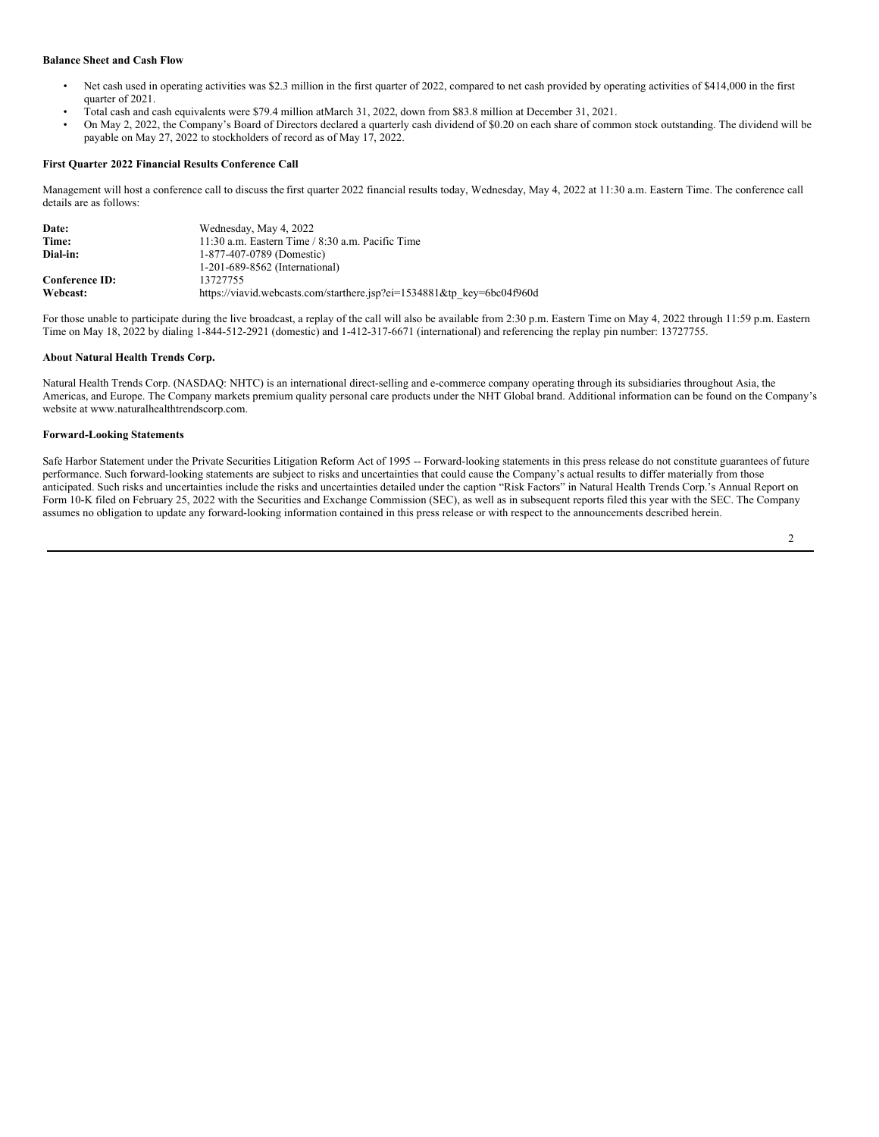#### **Balance Sheet and Cash Flow**

- Net cash used in operating activities was \$2.3 million in the first quarter of 2022, compared to net cash provided by operating activities of \$414,000 in the first quarter of 2021.
- Total cash and cash equivalents were \$79.4 million atMarch 31, 2022, down from \$83.8 million at December 31, 2021.
- On May 2, 2022, the Company's Board of Directors declared a quarterly cash dividend of \$0.20 on each share of common stock outstanding. The dividend will be payable on May 27, 2022 to stockholders of record as of May 17, 2022.

### **First Quarter 2022 Financial Results Conference Call**

Management will host a conference call to discuss the first quarter 2022 financial results today, Wednesday, May 4, 2022 at 11:30 a.m. Eastern Time. The conference call details are as follows:

| Date:                 | Wednesday, May 4, 2022                                                 |
|-----------------------|------------------------------------------------------------------------|
| Time:                 | 11:30 a.m. Eastern Time $/$ 8:30 a.m. Pacific Time                     |
| Dial-in:              | 1-877-407-0789 (Domestic)                                              |
|                       | 1-201-689-8562 (International)                                         |
| <b>Conference ID:</b> | 13727755                                                               |
| Webcast:              | https://viavid.webcasts.com/starthere.jsp?ei=1534881&tp key=6bc04f960d |

For those unable to participate during the live broadcast, a replay of the call will also be available from 2:30 p.m. Eastern Time on May 4, 2022 through 11:59 p.m. Eastern Time on May 18, 2022 by dialing 1-844-512-2921 (domestic) and 1-412-317-6671 (international) and referencing the replay pin number: 13727755.

#### **About Natural Health Trends Corp.**

Natural Health Trends Corp. (NASDAQ: NHTC) is an international direct-selling and e-commerce company operating through its subsidiaries throughout Asia, the Americas, and Europe. The Company markets premium quality personal care products under the NHT Global brand. Additional information can be found on the Company's website at www.naturalhealthtrendscorp.com.

#### **Forward-Looking Statements**

Safe Harbor Statement under the Private Securities Litigation Reform Act of 1995 -- Forward-looking statements in this press release do not constitute guarantees of future performance. Such forward-looking statements are subject to risks and uncertainties that could cause the Company's actual results to differ materially from those anticipated. Such risks and uncertainties include the risks and uncertainties detailed under the caption "Risk Factors" in Natural Health Trends Corp.'s Annual Report on Form 10-K filed on February 25, 2022 with the Securities and Exchange Commission (SEC), as well as in subsequent reports filed this year with the SEC. The Company assumes no obligation to update any forward-looking information contained in this press release or with respect to the announcements described herein.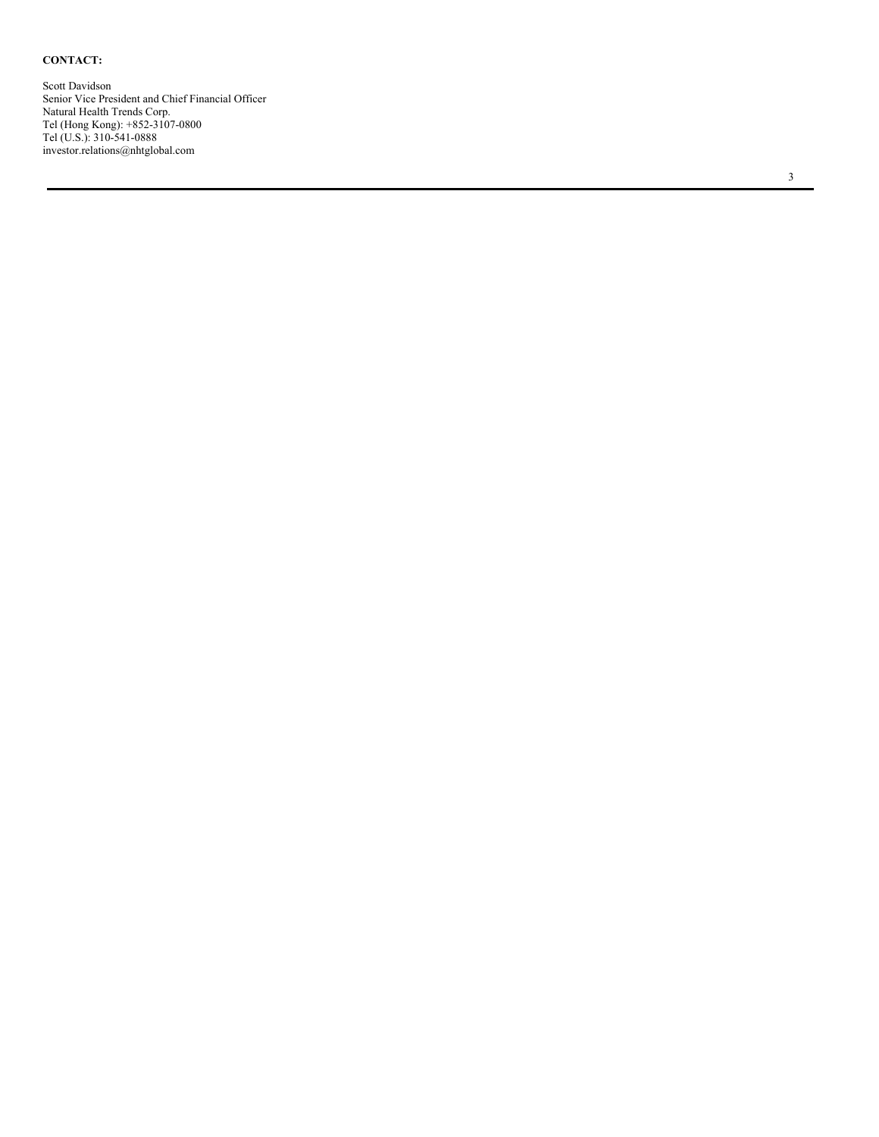#### <span id="page-4-0"></span>**C O N T A C T:**

Scott Davidso n Senior Vice President and Chief Financial Officer Natural Health Trends Corp. Tel (Hong Kong): +852-3107-0800 Tel (U.S.): 310-541-0888 investor.relations@nhtglobal.com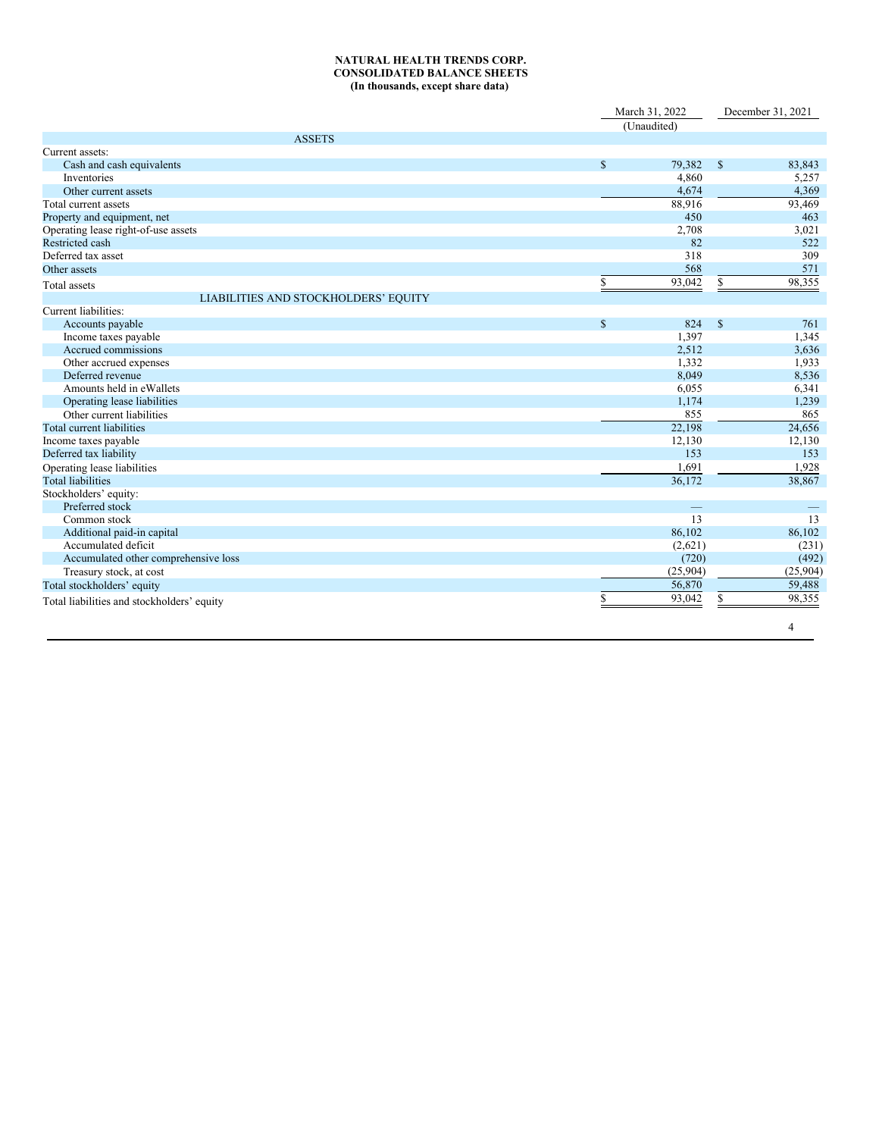#### **NATURAL HEALTH TRENDS CORP. CONSOLIDATED BALANCE SHEETS (In thousands, except share data)**

|                                            |               | March 31, 2022           |               | December 31, 2021 |  |
|--------------------------------------------|---------------|--------------------------|---------------|-------------------|--|
|                                            | (Unaudited)   |                          |               |                   |  |
| <b>ASSETS</b>                              |               |                          |               |                   |  |
| Current assets:                            |               |                          |               |                   |  |
| Cash and cash equivalents                  | $\mathbf S$   | 79,382                   | <sup>\$</sup> | 83,843            |  |
| Inventories                                |               | 4,860                    |               | 5,257             |  |
| Other current assets                       |               | 4,674                    |               | 4,369             |  |
| Total current assets                       |               | 88,916                   |               | 93,469            |  |
| Property and equipment, net                |               | 450                      |               | 463               |  |
| Operating lease right-of-use assets        |               | 2,708                    |               | 3,021             |  |
| Restricted cash                            |               | 82                       |               | 522               |  |
| Deferred tax asset                         |               | 318                      |               | 309               |  |
| Other assets                               |               | 568                      |               | 571               |  |
| <b>Total</b> assets                        | \$            | 93,042                   | \$            | 98,355            |  |
| LIABILITIES AND STOCKHOLDERS' EQUITY       |               |                          |               |                   |  |
| Current liabilities:                       |               |                          |               |                   |  |
| Accounts payable                           | <sup>\$</sup> | 824                      | $\mathbf S$   | 761               |  |
| Income taxes payable                       |               | 1,397                    |               | 1,345             |  |
| Accrued commissions                        |               | 2,512                    |               | 3,636             |  |
| Other accrued expenses                     |               | 1,332                    |               | 1,933             |  |
| Deferred revenue                           |               | 8,049                    |               | 8,536             |  |
| Amounts held in eWallets                   |               | 6,055                    |               | 6,341             |  |
| Operating lease liabilities                |               | 1,174                    |               | 1,239             |  |
| Other current liabilities                  |               | 855                      |               | 865               |  |
| Total current liabilities                  |               | 22,198                   |               | 24,656            |  |
| Income taxes payable                       |               | 12,130                   |               | 12,130            |  |
| Deferred tax liability                     |               | 153                      |               | 153               |  |
| Operating lease liabilities                |               | 1,691                    |               | 1,928             |  |
| <b>Total liabilities</b>                   |               | 36,172                   |               | 38,867            |  |
| Stockholders' equity:                      |               |                          |               |                   |  |
| Preferred stock                            |               | $\overline{\phantom{m}}$ |               |                   |  |
| Common stock                               |               | 13                       |               | 13                |  |
| Additional paid-in capital                 |               | 86,102                   |               | 86,102            |  |
| Accumulated deficit                        |               | (2,621)                  |               | (231)             |  |
| Accumulated other comprehensive loss       |               | (720)                    |               | (492)             |  |
| Treasury stock, at cost                    |               | (25,904)                 |               | (25,904)          |  |
| Total stockholders' equity                 |               | 56,870                   |               | 59,488            |  |
| Total liabilities and stockholders' equity | S             | 93,042                   | \$            | 98,355            |  |
|                                            |               |                          |               | $\overline{4}$    |  |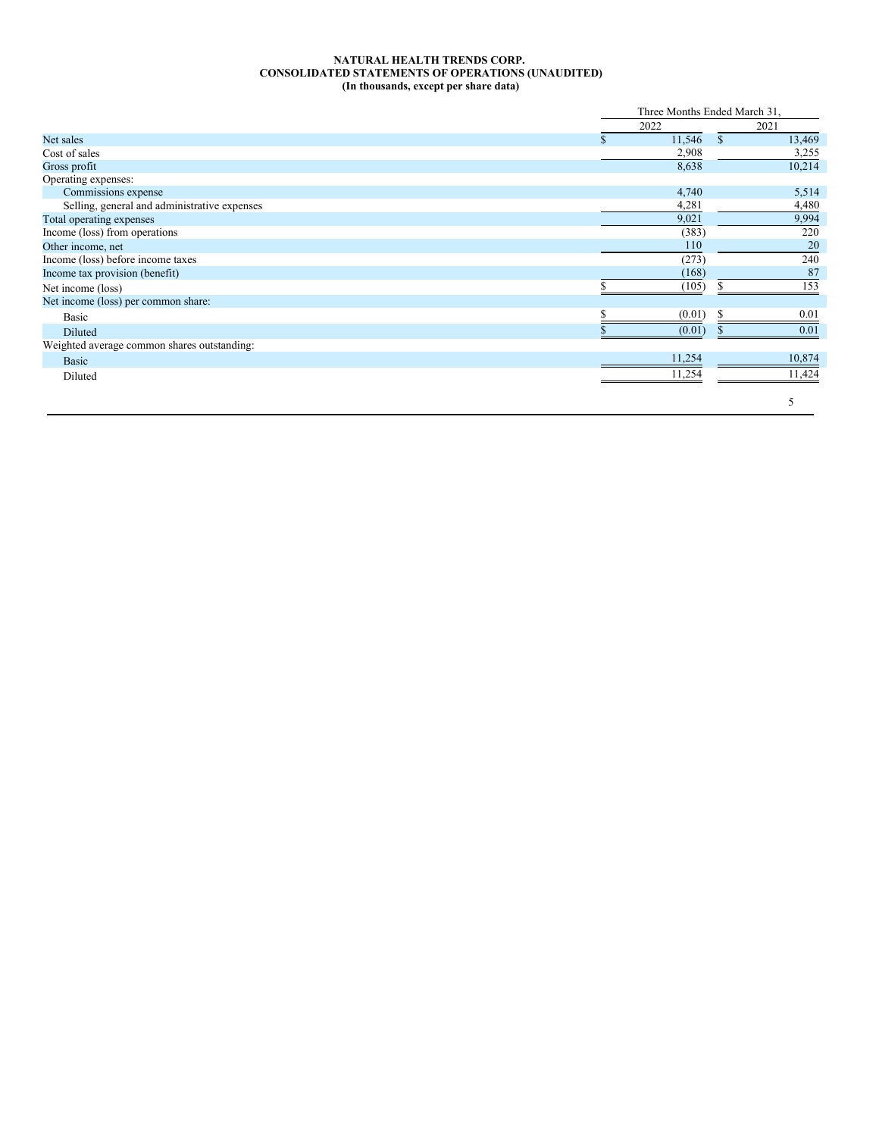#### **NATURAL HEALTH TRENDS CORP. CONSOLIDATED STATEMENTS OF OPERATIONS (UNAUDITED) (In thousands, except per share data)**

|                                              |   | Three Months Ended March 31, |               |        |
|----------------------------------------------|---|------------------------------|---------------|--------|
|                                              |   | 2022                         |               | 2021   |
| Net sales                                    | Ж | 11,546                       | <sup>\$</sup> | 13,469 |
| Cost of sales                                |   | 2,908                        |               | 3,255  |
| Gross profit                                 |   | 8,638                        |               | 10,214 |
| Operating expenses:                          |   |                              |               |        |
| Commissions expense                          |   | 4,740                        |               | 5,514  |
| Selling, general and administrative expenses |   | 4,281                        |               | 4,480  |
| Total operating expenses                     |   | 9,021                        |               | 9,994  |
| Income (loss) from operations                |   | (383)                        |               | 220    |
| Other income, net                            |   | 110                          |               | 20     |
| Income (loss) before income taxes            |   | (273)                        |               | 240    |
| Income tax provision (benefit)               |   | (168)                        |               | 87     |
| Net income (loss)                            |   | (105)                        |               | 153    |
| Net income (loss) per common share:          |   |                              |               |        |
| Basic                                        |   | (0.01)                       |               | 0.01   |
| Diluted                                      |   | (0.01)                       |               | 0.01   |
| Weighted average common shares outstanding:  |   |                              |               |        |
| Basic                                        |   | 11,254                       |               | 10,874 |
| Diluted                                      |   | 11,254                       |               | 11,424 |
|                                              |   |                              |               | 5      |